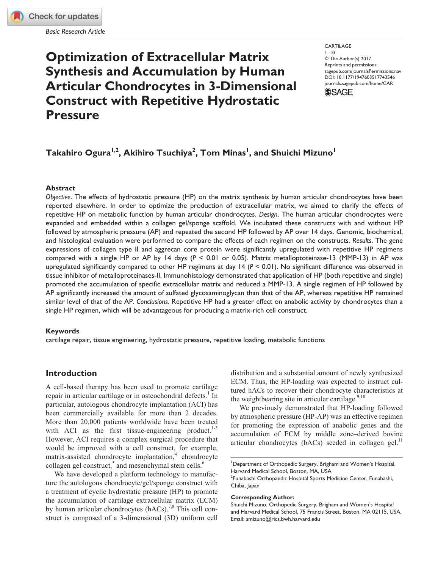**[743546](http://crossmark.crossref.org/dialog/?doi=10.1177%2F1947603517743546&domain=pdf&date_stamp=2017-12-21)** CARXXX10.1177/1947603517743546CARTILAGE**Ogura et al.**

# **Optimization of Extracellular Matrix Synthesis and Accumulation by Human Articular Chondrocytes in 3-Dimensional Construct with Repetitive Hydrostatic Pressure**

CARTILAGE  $1 - 10$ © The Author(s) 2017 Reprints and permissions: [sagepub.com/journalsPermissions.nav](https://us.sagepub.com/en-us/journals-permissions) https://doi.org/10.1177/1947603517743546 DOI: 10.1177/1947603517743546 [journals.sagepub.com/home/C](https://journals.sagepub.com/home/CAR)AR **SAGE** 

## $\mathsf{T}$ akahiro Ogura<sup>1,2</sup>, Akihiro Tsuchiya<sup>2</sup>, Tom Minas<sup>1</sup>, and Shuichi Mizuno<sup>1</sup>

#### **Abstract**

*Objective*. The effects of hydrostatic pressure (HP) on the matrix synthesis by human articular chondrocytes have been reported elsewhere. In order to optimize the production of extracellular matrix, we aimed to clarify the effects of repetitive HP on metabolic function by human articular chondrocytes. *Design*. The human articular chondrocytes were expanded and embedded within a collagen gel/sponge scaffold. We incubated these constructs with and without HP followed by atmospheric pressure (AP) and repeated the second HP followed by AP over 14 days. Genomic, biochemical, and histological evaluation were performed to compare the effects of each regimen on the constructs. *Results*. The gene expressions of collagen type II and aggrecan core protein were significantly upregulated with repetitive HP regimens compared with a single HP or AP by 14 days (*P* < 0.01 or 0.05). Matrix metalloptoteinase-13 (MMP-13) in AP was upregulated significantly compared to other HP regimens at day 14 (*P* < 0.01). No significant difference was observed in tissue inhibitor of metalloproteinases-II. Immunohistology demonstrated that application of HP (both repetitive and single) promoted the accumulation of specific extracellular matrix and reduced a MMP-13. A single regimen of HP followed by AP significantly increased the amount of sulfated glycosaminoglycan than that of the AP, whereas repetitive HP remained similar level of that of the AP. *Conclusions*. Repetitive HP had a greater effect on anabolic activity by chondrocytes than a single HP regimen, which will be advantageous for producing a matrix-rich cell construct.

#### **Keywords**

cartilage repair, tissue engineering, hydrostatic pressure, repetitive loading, metabolic functions

### **Introduction**

A cell-based therapy has been used to promote cartilage repair in articular cartilage or in osteochondral defects.<sup>1</sup> In particular, autologous chondrocyte implantation (ACI) has been commercially available for more than 2 decades. More than 20,000 patients worldwide have been treated with ACI as the first tissue-engineering product. $1-3$ However, ACI requires a complex surgical procedure that would be improved with a cell construct, for example, matrix-assisted chondrocyte implantation,<sup>4</sup> chondrocyte collagen gel construct,<sup>5</sup> and mesenchymal stem cells.<sup>6</sup>

We have developed a platform technology to manufacture the autologous chondrocyte/gel/sponge construct with a treatment of cyclic hydrostatic pressure (HP) to promote the accumulation of cartilage extracellular matrix (ECM) by human articular chondrocytes  $(hACs)$ .<sup>7,8</sup> This cell construct is composed of a 3-dimensional (3D) uniform cell

distribution and a substantial amount of newly synthesized ECM. Thus, the HP-loading was expected to instruct cultured hACs to recover their chondrocyte characteristics at the weightbearing site in articular cartilage. $9,10$ 

We previously demonstrated that HP-loading followed by atmospheric pressure (HP-AP) was an effective regimen for promoting the expression of anabolic genes and the accumulation of ECM by middle zone–derived bovine articular chondrocytes ( $bACs$ ) seeded in collagen gel.<sup>11</sup>

<sup>&</sup>lt;sup>1</sup>Department of Orthopedic Surgery, Brigham and Women's Hospital, Harvard Medical School, Boston, MA, USA

<sup>&</sup>lt;sup>2</sup>Funabashi Orthopaedic Hospital Sports Medicine Center, Funabashi, Chiba, Japan

**Corresponding Author:**

Shuichi Mizuno, Orthopedic Surgery, Brigham and Women's Hospital and Harvard Medical School, 75 Francis Street, Boston, MA 02115, USA. Email: [smizuno@rics.bwh.harvard.edu](mailto:smizuno@rics.bwh.harvard.edu)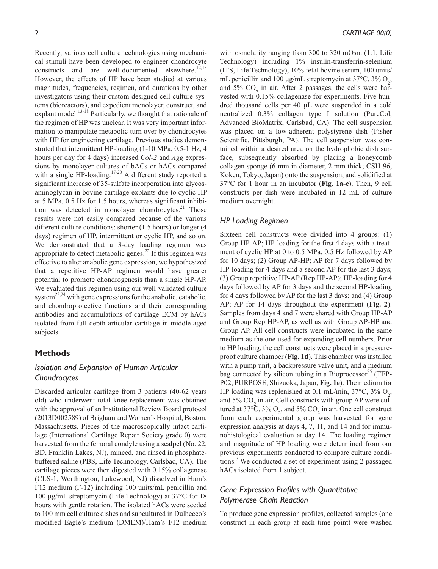Recently, various cell culture technologies using mechanical stimuli have been developed to engineer chondrocyte constructs and are well-documented elsewhere.<sup>12,13</sup> However, the effects of HP have been studied at various magnitudes, frequencies, regimen, and durations by other investigators using their custom-designed cell culture systems (bioreactors), and expedient monolayer, construct, and explant model.<sup>13-18</sup> Particularly, we thought that rationale of the regimen of HP was unclear. It was very important information to manipulate metabolic turn over by chondrocytes with HP for engineering cartilage. Previous studies demonstrated that intermittent HP-loading (1-10 MPa, 0.5-1 Hz, 4 hours per day for 4 days) increased *Col-2* and *Agg* expressions by monolayer cultures of bACs or hACs compared with a single HP-loading.<sup>17-20</sup> A different study reported a significant increase of 35-sulfate incorporation into glycosaminoglycan in bovine cartilage explants due to cyclic HP at 5 MPa, 0.5 Hz for 1.5 hours, whereas significant inhibition was detected in monolayer chondrocytes. $21$  Those results were not easily compared because of the various different culture conditions: shorter (1.5 hours) or longer (4 days) regimen of HP, intermittent or cyclic HP, and so on. We demonstrated that a 3-day loading regimen was appropriate to detect metabolic genes.<sup>22</sup> If this regimen was effective to alter anabolic gene expression, we hypothesized that a repetitive HP-AP regimen would have greater potential to promote chondrogenesis than a single HP-AP. We evaluated this regimen using our well-validated culture system<sup>23,24</sup> with gene expressions for the anabolic, catabolic, and chondroprotective functions and their corresponding antibodies and accumulations of cartilage ECM by hACs isolated from full depth articular cartilage in middle-aged subjects.

### **Methods**

### *Isolation and Expansion of Human Articular Chondrocytes*

Discarded articular cartilage from 3 patients (40-62 years old) who underwent total knee replacement was obtained with the approval of an Institutional Review Board protocol (2013D002589) of Brigham and Women's Hospital, Boston, Massachusetts. Pieces of the macroscopically intact cartilage (International Cartilage Repair Society grade 0) were harvested from the femoral condyle using a scalpel (No. 22, BD, Franklin Lakes, NJ), minced, and rinsed in phosphatebuffered saline (PBS, Life Technology, Carlsbad, CA). The cartilage pieces were then digested with 0.15% collagenase (CLS-1, Worthington, Lakewood, NJ) dissolved in Ham's F12 medium (F-12) including 100 units/mL penicillin and 100 µg/mL streptomycin (Life Technology) at 37°C for 18 hours with gentle rotation. The isolated hACs were seeded to 100 mm cell culture dishes and subcultured in Dulbecco's modified Eagle's medium (DMEM)/Ham's F12 medium

with osmolarity ranging from 300 to 320 mOsm (1:1, Life Technology) including 1% insulin-transferrin-selenium (ITS, Life Technology), 10% fetal bovine serum, 100 units/ mL penicillin and 100  $\mu$ g/mL streptomycin at 37°C, 3% O<sub>2</sub>, and  $5\%$  CO<sub>2</sub> in air. After 2 passages, the cells were harvested with 0.15% collagenase for experiments. Five hundred thousand cells per 40 µL were suspended in a cold neutralized 0.3% collagen type I solution (PureCol, Advanced BioMatrix, Carlsbad, CA). The cell suspension was placed on a low-adherent polystyrene dish (Fisher Scientific, Pittsburgh, PA). The cell suspension was contained within a desired area on the hydrophobic dish surface, subsequently absorbed by placing a honeycomb collagen sponge (6 mm in diameter, 2 mm thick; CSH-96, Koken, Tokyo, Japan) onto the suspension, and solidified at 37°C for 1 hour in an incubator (**Fig. 1a-c**). Then, 9 cell constructs per dish were incubated in 12 mL of culture medium overnight.

### *HP Loading Regimen*

Sixteen cell constructs were divided into 4 groups: (1) Group HP-AP; HP-loading for the first 4 days with a treatment of cyclic HP at 0 to 0.5 MPa, 0.5 Hz followed by AP for 10 days; (2) Group AP-HP; AP for 7 days followed by HP-loading for 4 days and a second AP for the last 3 days; (3) Group repetitive HP-AP (Rep HP-AP); HP-loading for 4 days followed by AP for 3 days and the second HP-loading for 4 days followed by AP for the last 3 days; and (4) Group AP; AP for 14 days throughout the experiment (**Fig. 2**). Samples from days 4 and 7 were shared with Group HP-AP and Group Rep HP-AP, as well as with Group AP-HP and Group AP. All cell constructs were incubated in the same medium as the one used for expanding cell numbers. Prior to HP loading, the cell constructs were placed in a pressureproof culture chamber (**Fig. 1d**). This chamber was installed with a pump unit, a backpressure valve unit, and a medium bag connected by silicon tubing in a Bioprocessor<sup>25</sup> (TEP-P02, PURPOSE, Shizuoka, Japan, **Fig. 1e**). The medium for HP loading was replenished at 0.1 mL/min, 37°C, 3%  $O_2$ , and  $5\%$  CO<sub>2</sub> in air. Cell constructs with group AP were cultured at 37°C, 3%  $O_2$ , and 5%  $CO_2$  in air. One cell construct from each experimental group was harvested for gene expression analysis at days 4, 7, 11, and 14 and for immunohistological evaluation at day 14. The loading regimen and magnitude of HP loading were determined from our previous experiments conducted to compare culture conditions.<sup>7</sup> We conducted a set of experiment using 2 passaged hACs isolated from 1 subject.

### *Gene Expression Profiles with Quantitative Polymerase Chain Reaction*

To produce gene expression profiles, collected samples (one construct in each group at each time point) were washed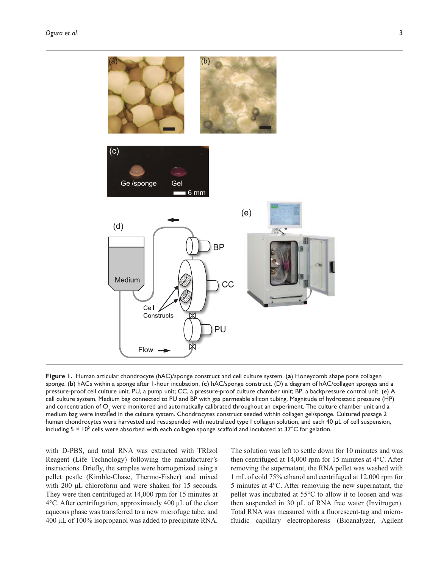

**Figure 1.** Human articular chondrocyte (hAC)/sponge construct and cell culture system. (**a**) Honeycomb shape pore collagen sponge. (**b**) hACs within a sponge after 1-hour incubation. (**c**) hAC/sponge construct. (D) a diagram of hAC/collagen sponges and a pressure-proof cell culture unit. PU, a pump unit; CC, a pressure-proof culture chamber unit; BP, a backpressure control unit. (e) A cell culture system. Medium bag connected to PU and BP with gas permeable silicon tubing. Magnitude of hydrostatic pressure (HP) and concentration of  $O_2$  were monitored and automatically calibrated throughout an experiment. The culture chamber unit and a medium bag were installed in the culture system. Chondrocytes construct seeded within collagen gel/sponge. Cultured passage 2 human chondrocytes were harvested and resuspended with neutralized type I collagen solution, and each 40 µL of cell suspension, including 5  $\times$  10<sup>5</sup> cells were absorbed with each collagen sponge scaffold and incubated at 37°C for gelation.

with D-PBS, and total RNA was extracted with TRIzol Reagent (Life Technology) following the manufacturer's instructions. Briefly, the samples were homogenized using a pellet pestle (Kimble-Chase, Thermo-Fisher) and mixed with 200 µL chloroform and were shaken for 15 seconds. They were then centrifuged at 14,000 rpm for 15 minutes at 4°C. After centrifugation, approximately 400 µL of the clear aqueous phase was transferred to a new microfuge tube, and 400 µL of 100% isopropanol was added to precipitate RNA.

The solution was left to settle down for 10 minutes and was then centrifuged at 14,000 rpm for 15 minutes at 4°C. After removing the supernatant, the RNA pellet was washed with 1 mL of cold 75% ethanol and centrifuged at 12,000 rpm for 5 minutes at 4°C. After removing the new supernatant, the pellet was incubated at 55°C to allow it to loosen and was then suspended in 30 µL of RNA free water (Invitrogen). Total RNA was measured with a fluorescent-tag and microfluidic capillary electrophoresis (Bioanalyzer, Agilent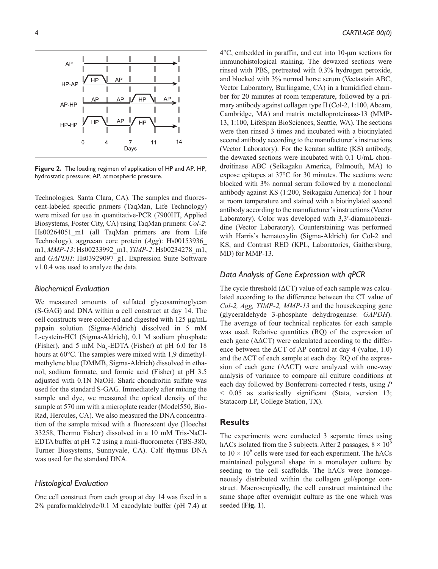

**Figure 2.** The loading regimen of application of HP and AP. HP, hydrostatic pressure; AP, atmospheric pressure.

Technologies, Santa Clara, CA). The samples and fluorescent-labeled specific primers (TaqMan, Life Technology) were mixed for use in quantitative-PCR (7900HT, Applied Biosystems, Foster City, CA) using TaqMan primers: *Col-2*: Hs00264051 m1 (all TaqMan primers are from Life Technology), aggrecan core protein (*Agg*): Hs00153936\_ m1, *MMP-13*: Hs00233992\_m1, *TIMP-2*: Hs00234278\_m1, and *GAPDH*: Hs03929097\_g1. Expression Suite Software v1.0.4 was used to analyze the data.

### *Biochemical Evaluation*

We measured amounts of sulfated glycosaminoglycan (S-GAG) and DNA within a cell construct at day 14. The cell constructs were collected and digested with 125 µg/mL papain solution (Sigma-Aldrich) dissolved in 5 mM L-cystein-HCl (Sigma-Aldrich), 0.1 M sodium phosphate (Fisher), and 5 mM  $\text{Na}_2$ -EDTA (Fisher) at pH 6.0 for 18 hours at 60°C. The samples were mixed with 1,9 dimethylmethylene blue (DMMB, Sigma-Aldrich) dissolved in ethanol, sodium formate, and formic acid (Fisher) at pH 3.5 adjusted with 0.1N NaOH. Shark chondroitin sulfate was used for the standard S-GAG. Immediately after mixing the sample and dye, we measured the optical density of the sample at 570 nm with a microplate reader (Model550, Bio-Rad, Hercules, CA). We also measured the DNA concentration of the sample mixed with a fluorescent dye (Hoechst 33258, Thermo Fisher) dissolved in a 10 mM Tris-NaCl-EDTA buffer at pH 7.2 using a mini-fluorometer (TBS-380, Turner Biosystems, Sunnyvale, CA). Calf thymus DNA was used for the standard DNA.

### *Histological Evaluation*

One cell construct from each group at day 14 was fixed in a 2% paraformaldehyde/0.1 M cacodylate buffer (pH 7.4) at 4°C, embedded in paraffin, and cut into 10-µm sections for immunohistological staining. The dewaxed sections were rinsed with PBS, pretreated with 0.3% hydrogen peroxide, and blocked with 3% normal horse serum (Vectastain ABC, Vector Laboratory, Burlingame, CA) in a humidified chamber for 20 minutes at room temperature, followed by a primary antibody against collagen type II (Col-2, 1:100, Abcam, Cambridge, MA) and matrix metalloproteinase-13 (MMP-13, 1:100, LifeSpan BioSciences, Seattle, WA). The sections were then rinsed 3 times and incubated with a biotinylated second antibody according to the manufacturer's instructions (Vector Laboratory). For the keratan sulfate (KS) antibody, the dewaxed sections were incubated with 0.1 U/mL chondroitinase ABC (Seikagaku America, Falmouth, MA) to expose epitopes at 37°C for 30 minutes. The sections were blocked with 3% normal serum followed by a monoclonal antibody against KS (1:200, Seikagaku America) for 1 hour at room temperature and stained with a biotinylated second antibody according to the manufacturer's instructions (Vector Laboratory). Color was developed with 3,3′-diaminobenzidine (Vector Laboratory). Counterstaining was performed with Harris's hematoxylin (Sigma-Aldrich) for Col-2 and KS, and Contrast RED (KPL, Laboratories, Gaithersburg, MD) for MMP-13.

### *Data Analysis of Gene Expression with qPCR*

The cycle threshold (ΔCT) value of each sample was calculated according to the difference between the CT value of *Col-2, Agg, TIMP-2, MMP-13* and the housekeeping gene (glyceraldehyde 3-phosphate dehydrogenase: *GAPDH*). The average of four technical replicates for each sample was used. Relative quantities (RQ) of the expression of each gene ( $\Delta \Delta CT$ ) were calculated according to the difference between the  $\Delta CT$  of AP control at day 4 (value, 1.0) and the ΔCT of each sample at each day. RQ of the expression of each gene  $(\Delta \Delta CT)$  were analyzed with one-way analysis of variance to compare all culture conditions at each day followed by Bonferroni-corrected *t* tests, using *P* < 0.05 as statistically significant (Stata, version 13; Statacorp LP, College Station, TX).

### **Results**

The experiments were conducted 3 separate times using hACs isolated from the 3 subjects. After 2 passages,  $8 \times 10^6$ to  $10 \times 10^6$  cells were used for each experiment. The hACs maintained polygonal shape in a monolayer culture by seeding to the cell scaffolds. The hACs were homogeneously distributed within the collagen gel/sponge construct. Macroscopically, the cell construct maintained the same shape after overnight culture as the one which was seeded (**Fig. 1**).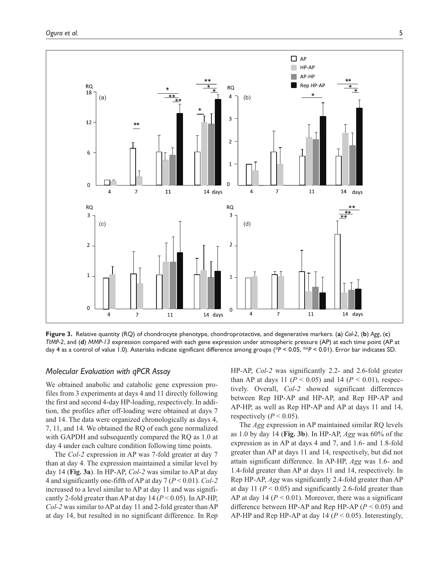

**Figure 3.** Relative quantity (RQ) of chondrocyte phenotype, chondroprotective, and degenerative markers. (**a**) *Col-2*, (**b**) *Agg*, (**c**) *TIMP-2*, and (**d**) *MMP-13* expression compared with each gene expression under atmospheric pressure (AP) at each time point (AP at day 4 as a control of value 1.0). Asterisks indicate significant difference among groups (\**P* < 0.05, \*\**P* < 0.01). Error bar indicates SD.

### *Molecular Evaluation with qPCR Assay*

We obtained anabolic and catabolic gene expression profiles from 3 experiments at days 4 and 11 directly following the first and second 4-day HP-loading, respectively. In addition, the profiles after off-loading were obtained at days 7 and 14. The data were organized chronologically as days 4, 7, 11, and 14. We obtained the RQ of each gene normalized with GAPDH and subsequently compared the RQ as 1.0 at day 4 under each culture condition following time points.

The *Col-2* expression in AP was 7-fold greater at day 7 than at day 4. The expression maintained a similar level by day 14 (**Fig. 3a**). In HP-AP, *Col-2* was similar to AP at day 4 and significantly one-fifth of AP at day 7 (*P* < 0.01). *Col-2* increased to a level similar to AP at day 11 and was significantly 2-fold greater than AP at day  $14 (P < 0.05)$ . In AP-HP, *Col-2* was similar to AP at day 11 and 2-fold greater than AP at day 14, but resulted in no significant difference. In Rep HP-AP, *Col-2* was significantly 2.2- and 2.6-fold greater than AP at days 11 ( $P < 0.05$ ) and 14 ( $P < 0.01$ ), respectively. Overall, *Col-2* showed significant differences between Rep HP-AP and HP-AP, and Rep HP-AP and AP-HP, as well as Rep HP-AP and AP at days 11 and 14, respectively  $(P < 0.05)$ .

The *Agg* expression in AP maintained similar RQ levels as 1.0 by day 14 (**Fig. 3b**). In HP-AP, *Agg* was 60% of the expression as in AP at days 4 and 7, and 1.6- and 1.8-fold greater than AP at days 11 and 14, respectively, but did not attain significant difference. In AP-HP, *Agg* was 1.6- and 1.4-fold greater than AP at days 11 and 14, respectively. In Rep HP-AP, *Agg* was significantly 2.4-fold greater than AP at day 11 ( $P < 0.05$ ) and significantly 2.6-fold greater than AP at day 14 ( $P < 0.01$ ). Moreover, there was a significant difference between HP-AP and Rep HP-AP (*P* < 0.05) and AP-HP and Rep HP-AP at day 14 (*P* < 0.05). Interestingly,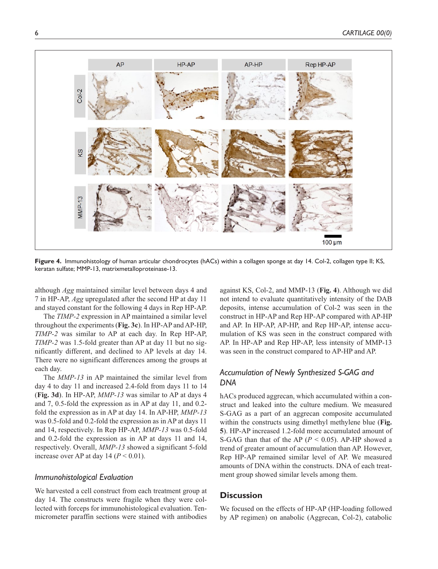

**Figure 4.** Immunohistology of human articular chondrocytes (hACs) within a collagen sponge at day 14. Col-2, collagen type II; KS, keratan sulfate; MMP-13, matrixmetalloproteinase-13.

although *Agg* maintained similar level between days 4 and 7 in HP-AP, *Agg* upregulated after the second HP at day 11 and stayed constant for the following 4 days in Rep HP-AP.

The *TIMP-2* expression in AP maintained a similar level throughout the experiments (**Fig. 3c**). In HP-AP and AP-HP, *TIMP-2* was similar to AP at each day. In Rep HP-AP, *TIMP-2* was 1.5-fold greater than AP at day 11 but no significantly different, and declined to AP levels at day 14. There were no significant differences among the groups at each day.

The *MMP-13* in AP maintained the similar level from day 4 to day 11 and increased 2.4-fold from days 11 to 14 (**Fig. 3d**). In HP-AP, *MMP-13* was similar to AP at days 4 and 7, 0.5-fold the expression as in AP at day 11, and 0.2 fold the expression as in AP at day 14. In AP-HP, *MMP-13* was 0.5-fold and 0.2-fold the expression as in AP at days 11 and 14, respectively. In Rep HP-AP, *MMP-13* was 0.5-fold and 0.2-fold the expression as in AP at days 11 and 14, respectively. Overall, *MMP-13* showed a significant 5-fold increase over AP at day 14 ( $P < 0.01$ ).

### *Immunohistological Evaluation*

We harvested a cell construct from each treatment group at day 14. The constructs were fragile when they were collected with forceps for immunohistological evaluation. Tenmicrometer paraffin sections were stained with antibodies against KS, Col-2, and MMP-13 (**Fig. 4**). Although we did not intend to evaluate quantitatively intensity of the DAB deposits, intense accumulation of Col-2 was seen in the construct in HP-AP and Rep HP-AP compared with AP-HP and AP. In HP-AP, AP-HP, and Rep HP-AP, intense accumulation of KS was seen in the construct compared with AP. In HP-AP and Rep HP-AP, less intensity of MMP-13 was seen in the construct compared to AP-HP and AP.

### *Accumulation of Newly Synthesized S-GAG and DNA*

hACs produced aggrecan, which accumulated within a construct and leaked into the culture medium. We measured S-GAG as a part of an aggrecan composite accumulated within the constructs using dimethyl methylene blue (**Fig. 5**). HP-AP increased 1.2-fold more accumulated amount of S-GAG than that of the AP  $(P < 0.05)$ . AP-HP showed a trend of greater amount of accumulation than AP. However, Rep HP-AP remained similar level of AP. We measured amounts of DNA within the constructs. DNA of each treatment group showed similar levels among them.

### **Discussion**

We focused on the effects of HP-AP (HP-loading followed by AP regimen) on anabolic (Aggrecan, Col-2), catabolic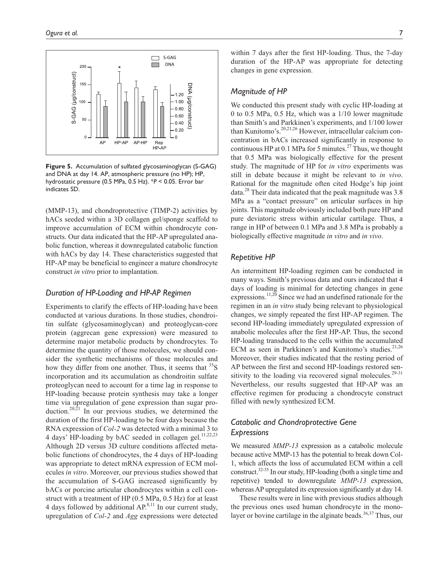

**Figure 5.** Accumulation of sulfated glycosaminoglycan (S-GAG) and DNA at day 14. AP, atmospheric pressure (no HP); HP, hydrostatic pressure (0.5 MPa, 0.5 Hz). \**P* < 0.05. Error bar indicates SD.

(MMP-13), and chondroprotective (TIMP-2) activities by hACs seeded within a 3D collagen gel/sponge scaffold to improve accumulation of ECM within chondrocyte constructs. Our data indicated that the HP-AP upregulated anabolic function, whereas it downregulated catabolic function with hACs by day 14. These characteristics suggested that HP-AP may be beneficial to engineer a mature chondrocyte construct *in vitro* prior to implantation.

### *Duration of HP-Loading and HP-AP Regimen*

Experiments to clarify the effects of HP-loading have been conducted at various durations. In those studies, chondroitin sulfate (glycosaminoglycan) and proteoglycan-core protein (aggrecan gene expression) were measured to determine major metabolic products by chondrocytes. To determine the quantity of those molecules, we should consider the synthetic mechanisms of those molecules and how they differ from one another. Thus, it seems that  $\frac{35}{5}$ S incorporation and its accumulation as chondroitin sulfate proteoglycan need to account for a time lag in response to HP-loading because protein synthesis may take a longer time via upregulation of gene expression than sugar production.<sup>20,21</sup> In our previous studies, we determined the duration of the first HP-loading to be four days because the RNA expression of *Col-2* was detected with a minimal 3 to 4 days' HP-loading by bAC seeded in collagen gel.<sup>11,22,23</sup> Although 2D versus 3D culture conditions affected metabolic functions of chondrocytes, the 4 days of HP-loading was appropriate to detect mRNA expression of ECM molecules *in vitro*. Moreover, our previous studies showed that the accumulation of S-GAG increased significantly by bACs or porcine articular chondrocytes within a cell construct with a treatment of HP (0.5 MPa, 0.5 Hz) for at least 4 days followed by additional  $AP^{8,11}$ . In our current study, upregulation of *Col-2* and *Agg* expressions were detected

within 7 days after the first HP-loading. Thus, the 7-day duration of the HP-AP was appropriate for detecting changes in gene expression.

### *Magnitude of HP*

We conducted this present study with cyclic HP-loading at 0 to 0.5 MPa, 0.5 Hz, which was a 1/10 lower magnitude than Smith's and Parkkinen's experiments, and 1/100 lower than Kunitomo's.<sup>20,21,26</sup> However, intracellular calcium concentration in bACs increased significantly in response to continuous HP at 0.1 MPa for 5 minutes.<sup>27</sup> Thus, we thought that 0.5 MPa was biologically effective for the present study. The magnitude of HP for *in vitro* experiments was still in debate because it might be relevant to *in vivo*. Rational for the magnitude often cited Hodge's hip joint data.28 Their data indicated that the peak magnitude was 3.8 MPa as a "contact pressure" on articular surfaces in hip joints. This magnitude obviously included both pure HP and pure deviatoric stress within articular cartilage. Thus, a range in HP of between 0.1 MPa and 3.8 MPa is probably a biologically effective magnitude *in vitro* and *in vivo*.

### *Repetitive HP*

An intermittent HP-loading regimen can be conducted in many ways. Smith's previous data and ours indicated that 4 days of loading is minimal for detecting changes in gene expressions.<sup>11,20</sup> Since we had an undefined rationale for the regimen in an *in vitro* study being relevant to physiological changes, we simply repeated the first HP-AP regimen. The second HP-loading immediately upregulated expression of anabolic molecules after the first HP-AP. Thus, the second HP-loading transduced to the cells within the accumulated ECM as seen in Parkkinen's and Kunitomo's studies.<sup>21,26</sup> Moreover, their studies indicated that the resting period of AP between the first and second HP-loadings restored sensitivity to the loading via recovered signal molecules.<sup>29-31</sup> Nevertheless, our results suggested that HP-AP was an effective regimen for producing a chondrocyte construct filled with newly synthesized ECM.

### *Catabolic and Chondroprotective Gene Expressions*

We measured *MMP-13* expression as a catabolic molecule because active MMP-13 has the potential to break down Col-1, which affects the loss of accumulated ECM within a cell construct.32-35 In our study, HP-loading (both a single time and repetitive) tended to downregulate *MMP-13* expression, whereas AP upregulated its expression significantly at day 14.

These results were in line with previous studies although the previous ones used human chondrocyte in the monolayer or bovine cartilage in the alginate beads.<sup>36,37</sup> Thus, our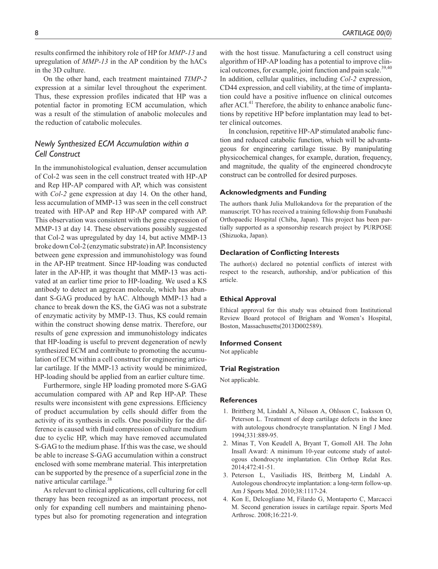results confirmed the inhibitory role of HP for *MMP-13* and upregulation of *MMP-13* in the AP condition by the hACs in the 3D culture.

On the other hand, each treatment maintained *TIMP-2* expression at a similar level throughout the experiment. Thus, these expression profiles indicated that HP was a potential factor in promoting ECM accumulation, which was a result of the stimulation of anabolic molecules and the reduction of catabolic molecules.

### *Newly Synthesized ECM Accumulation within a Cell Construct*

In the immunohistological evaluation, denser accumulation of Col-2 was seen in the cell construct treated with HP-AP and Rep HP-AP compared with AP, which was consistent with *Col-2* gene expression at day 14. On the other hand, less accumulation of MMP-13 was seen in the cell construct treated with HP-AP and Rep HP-AP compared with AP. This observation was consistent with the gene expression of MMP-13 at day 14. These observations possibly suggested that Col-2 was upregulated by day 14, but active MMP-13 broke down Col-2 (enzymatic substrate) in AP. Inconsistency between gene expression and immunohistology was found in the AP-HP treatment. Since HP-loading was conducted later in the AP-HP, it was thought that MMP-13 was activated at an earlier time prior to HP-loading. We used a KS antibody to detect an aggrecan molecule, which has abundant S-GAG produced by hAC. Although MMP-13 had a chance to break down the KS, the GAG was not a substrate of enzymatic activity by MMP-13. Thus, KS could remain within the construct showing dense matrix. Therefore, our results of gene expression and immunohistology indicates that HP-loading is useful to prevent degeneration of newly synthesized ECM and contribute to promoting the accumulation of ECM within a cell construct for engineering articular cartilage. If the MMP-13 activity would be minimized, HP-loading should be applied from an earlier culture time.

Furthermore, single HP loading promoted more S-GAG accumulation compared with AP and Rep HP-AP. These results were inconsistent with gene expressions. Efficiency of product accumulation by cells should differ from the activity of its synthesis in cells. One possibility for the difference is caused with fluid compression of culture medium due to cyclic HP, which may have removed accumulated S-GAG to the medium phase. If this was the case, we should be able to increase S-GAG accumulation within a construct enclosed with some membrane material. This interpretation can be supported by the presence of a superficial zone in the native articular cartilage.<sup>38</sup>

As relevant to clinical applications, cell culturing for cell therapy has been recognized as an important process, not only for expanding cell numbers and maintaining phenotypes but also for promoting regeneration and integration

with the host tissue. Manufacturing a cell construct using algorithm of HP-AP loading has a potential to improve clinical outcomes, for example, joint function and pain scale.<sup>39,40</sup> In addition, cellular qualities, including *Col-2* expression, CD44 expression, and cell viability, at the time of implantation could have a positive influence on clinical outcomes after ACI. $41$ <sup>1</sup> Therefore, the ability to enhance anabolic functions by repetitive HP before implantation may lead to better clinical outcomes.

In conclusion, repetitive HP-AP stimulated anabolic function and reduced catabolic function, which will be advantageous for engineering cartilage tissue. By manipulating physicochemical changes, for example, duration, frequency, and magnitude, the quality of the engineered chondrocyte construct can be controlled for desired purposes.

### **Acknowledgments and Funding**

The authors thank Julia Mullokandova for the preparation of the manuscript. TO has received a training fellowship from Funabashi Orthopaedic Hospital (Chiba, Japan). This project has been partially supported as a sponsorship research project by PURPOSE (Shizuoka, Japan).

### **Declaration of Conflicting Interests**

The author(s) declared no potential conflicts of interest with respect to the research, authorship, and/or publication of this article.

#### **Ethical Approval**

Ethical approval for this study was obtained from Institutional Review Board protocol of Brigham and Women's Hospital, Boston, Massachusetts(2013D002589).

#### **Informed Consent**

Not applicable

#### **Trial Registration**

Not applicable.

### **References**

- 1. Brittberg M, Lindahl A, Nilsson A, Ohlsson C, Isaksson O, Peterson L. Treatment of deep cartilage defects in the knee with autologous chondrocyte transplantation. N Engl J Med. 1994;331:889-95.
- 2. Minas T, Von Keudell A, Bryant T, Gomoll AH. The John Insall Award: A minimum 10-year outcome study of autologous chondrocyte implantation. Clin Orthop Relat Res. 2014;472:41-51.
- 3. Peterson L, Vasiliadis HS, Brittberg M, Lindahl A. Autologous chondrocyte implantation: a long-term follow-up. Am J Sports Med. 2010;38:1117-24.
- 4. Kon E, Delcogliano M, Filardo G, Montaperto C, Marcacci M. Second generation issues in cartilage repair. Sports Med Arthrosc. 2008;16:221-9.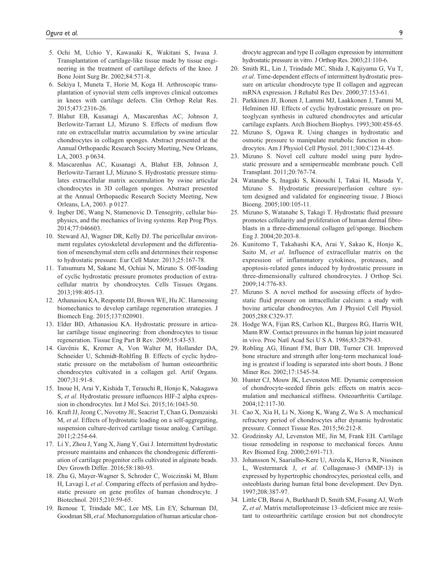- 5. Ochi M, Uchio Y, Kawasaki K, Wakitani S, Iwasa J. Transplantation of cartilage-like tissue made by tissue engineering in the treatment of cartilage defects of the knee. J Bone Joint Surg Br. 2002;84:571-8.
- 6. Sekiya I, Muneta T, Horie M, Koga H. Arthroscopic transplantation of synovial stem cells improves clinical outcomes in knees with cartilage defects. Clin Orthop Relat Res. 2015;473:2316-26.
- 7. Blahut EB, Kusanagi A, Mascarenhas AC, Johnson J, Berlowitz-Tarrant LJ, Mizuno S. Effects of medium flow rate on extracellular matrix accumulation by swine articular chondrocytes in collagen sponges. Abstract presented at the Annual Orthopaedic Research Society Meeting, New Orleans, LA, 2003. p 0634.
- 8. Mascarenhas AC, Kusanagi A, Blahut EB, Johnson J, Berlowitz-Tarrant LJ, Mizuno S. Hydrostatic pressure stimulates extracellular matrix accumulation by swine articular chondrocytes in 3D collagen sponges. Abstract presented at the Annual Orthopaedic Research Society Meeting, New Orleans, LA, 2003. p 0127.
- 9. Ingber DE, Wang N, Stamenovic D. Tensegrity, cellular biophysics, and the mechanics of living systems. Rep Prog Phys. 2014;77:046603.
- 10. Steward AJ, Wagner DR, Kelly DJ. The pericellular environment regulates cytoskeletal development and the differentiation of mesenchymal stem cells and determines their response to hydrostatic pressure. Eur Cell Mater. 2013;25:167-78.
- 11. Tatsumura M, Sakane M, Ochiai N, Mizuno S. Off-loading of cyclic hydrostatic pressure promotes production of extracellular matrix by chondrocytes. Cells Tissues Organs. 2013;198:405-13.
- 12. Athanasiou KA, Responte DJ, Brown WE, Hu JC. Harnessing biomechanics to develop cartilage regeneration strategies. J Biomech Eng. 2015;137:020901.
- 13. Elder BD, Athanasiou KA. Hydrostatic pressure in articular cartilage tissue engineering: from chondrocytes to tissue regeneration. Tissue Eng Part B Rev. 2009;15:43-53.
- 14. Gavénis K, Kremer A, Von Walter M, Hollander DA, Schneider U, Schmidt-Rohlfing B. Effects of cyclic hydrostatic pressure on the metabolism of human osteoarthritic chondrocytes cultivated in a collagen gel. Artif Organs. 2007;31:91-8.
- 15. Inoue H, Arai Y, Kishida T, Terauchi R, Honjo K, Nakagawa S, *et al*. Hydrostatic pressure influences HIF-2 alpha expression in chondrocytes. Int J Mol Sci. 2015;16:1043-50.
- 16. Kraft JJ, Jeong C, Novotny JE, Seacrist T, Chan G, Domzaiski M, *et al*. Effects of hydrostatic loading on a self-aggregating, suspension culture-derived cartilage tissue analog. Cartilage. 2011;2:254-64.
- 17. Li Y, Zhou J, Yang X, Jiang Y, Gui J. Intermittent hydrostatic pressure maintains and enhances the chondrogenic differentiation of cartilage progenitor cells cultivated in alginate beads. Dev Growth Differ. 2016;58:180-93.
- 18. Zhu G, Mayer-Wagner S, Schroder C, Woiczinski M, Blum H, Lavagi I, *et al*. Comparing effects of perfusion and hydrostatic pressure on gene profiles of human chondrocyte. J Biotechnol. 2015;210:59-65.
- 19. Ikenoue T, Trindade MC, Lee MS, Lin EY, Schurman DJ, Goodman SB, *et al*. Mechanoregulation of human articular chon-

drocyte aggrecan and type II collagen expression by intermittent hydrostatic pressure in vitro. J Orthop Res. 2003;21:110-6.

- 20. Smith RL, Lin J, Trindade MC, Shida J, Kajiyama G, Vu T, *et al*. Time-dependent effects of intermittent hydrostatic pressure on articular chondrocyte type II collagen and aggrecan mRNA expression. J Rehabil Res Dev. 2000;37:153-61.
- 21. Parkkinen JJ, Ikonen J, Lammi MJ, Laakkonen J, Tammi M, Helminen HJ. Effects of cyclic hydrostatic pressure on proteoglycan synthesis in cultured chondrocytes and articular cartilage explants. Arch Biochem Biophys. 1993;300:458-65.
- 22. Mizuno S, Ogawa R. Using changes in hydrostatic and osmotic pressure to manipulate metabolic function in chondrocytes. Am J Physiol Cell Physiol. 2011;300:C1234-45.
- 23. Mizuno S. Novel cell culture model using pure hydrostatic pressure and a semipermeable membrane pouch. Cell Transplant. 2011;20:767-74.
- 24. Watanabe S, Inagaki S, Kinouchi I, Takai H, Masuda Y, Mizuno S. Hydrostatic pressure/perfusion culture system designed and validated for engineering tissue. J Biosci Bioeng. 2005;100:105-11.
- 25. Mizuno S, Watanabe S, Takagi T. Hydrostatic fluid pressure promotes cellularity and proliferation of human dermal fibroblasts in a three-dimensional collagen gel/sponge. Biochem Eng J. 2004;20:203-8.
- 26. Kunitomo T, Takahashi KA, Arai Y, Sakao K, Honjo K, Saito M, *et al*. Influence of extracellular matrix on the expression of inflammatory cytokines, proteases, and apoptosis-related genes induced by hydrostatic pressure in three-dimensionally cultured chondrocytes. J Orthop Sci. 2009;14:776-83.
- 27. Mizuno S. A novel method for assessing effects of hydrostatic fluid pressure on intracellular calcium: a study with bovine articular chondrocytes. Am J Physiol Cell Physiol. 2005;288:C329-37.
- 28. Hodge WA, Fijan RS, Carlson KL, Burgess RG, Harris WH, Mann RW. Contact pressures in the human hip joint measured in vivo. Proc Natl Acad Sci U S A. 1986;83:2879-83.
- 29. Robling AG, Hinant FM, Burr DB, Turner CH. Improved bone structure and strength after long-term mechanical loading is greatest if loading is separated into short bouts. J Bone Miner Res. 2002;17:1545-54.
- 30. Hunter CJ, Mouw JK, Levenston ME. Dynamic compression of chondrocyte-seeded fibrin gels: effects on matrix accumulation and mechanical stiffness. Osteoarthritis Cartilage. 2004;12:117-30.
- 31. Cao X, Xia H, Li N, Xiong K, Wang Z, Wu S. A mechanical refractory period of chondrocytes after dynamic hydrostatic pressure. Connect Tissue Res. 2015;56:212-8.
- 32. Grodzinsky AJ, Levenston ME, Jin M, Frank EH. Cartilage tissue remodeling in response to mechanical forces. Annu Rev Biomed Eng. 2000;2:691-713.
- 33. Johansson N, Saarialho-Kere U, Airola K, Herva R, Nissinen L, Westermarck J, *et al*. Collagenase-3 (MMP-13) is expressed by hypertrophic chondrocytes, periosteal cells, and osteoblasts during human fetal bone development. Dev Dyn. 1997;208:387-97.
- 34. Little CB, Barai A, Burkhardt D, Smith SM, Fosang AJ, Werb Z, *et al*. Matrix metalloproteinase 13–deficient mice are resistant to osteoarthritic cartilage erosion but not chondrocyte